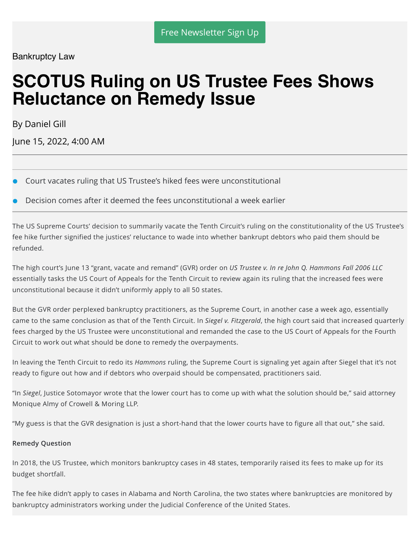Bankruptcy Law

# **SCOTUS Ruling on US Trustee Fees Shows Reluctance on Remedy Issue**

By Daniel Gill

June 15, 2022, 4:00 AM

- Court vacates ruling that US Trustee's hiked fees were unconstitutional
- Decision comes after it deemed the fees unconstitutional a week earlier

The US Supreme Courts' decision to summarily vacate the Tenth Circuit's ruling on the constitutionality of the US Trustee's fee hike further signified the justices' reluctance to wade into whether bankrupt debtors who paid them should be refunded.

The high court's June 13 "grant, vacate and remand" (GVR) order on *US Trustee v. In re John Q. Hammons Fall 2006 LLC* essentially tasks the US Court of Appeals for the Tenth Circuit to review again its ruling that the increased fees were unconstitutional because it didn't uniformly apply to all 50 states.

But the GVR order perplexed bankruptcy practitioners, as the Supreme Court, in another case a week ago, essentially came to the same conclusion as that of the Tenth Circuit. In *Siegel v. Fitzgerald*, the high court said that increased quarterly fees charged by the US Trustee were unconstitutional and remanded the case to the US Court of Appeals for the Fourth Circuit to work out what should be done to remedy the overpayments.

In leaving the Tenth Circuit to redo its *Hammons* ruling, the Supreme Court is signaling yet again after Siegel that it's not ready to figure out how and if debtors who overpaid should be compensated, practitioners said.

"In *Siegel*, Justice Sotomayor wrote that the lower court has to come up with what the solution should be," said attorney Monique Almy of Crowell & Moring LLP.

"My guess is that the GVR designation is just a short-hand that the lower courts have to figure all that out," she said.

#### **Remedy Question**

In 2018, the US Trustee, which monitors bankruptcy cases in 48 states, temporarily raised its fees to make up for its budget shortfall.

The fee hike didn't apply to cases in Alabama and North Carolina, the two states where bankruptcies are monitored by bankruptcy administrators working under the Judicial Conference of the United States.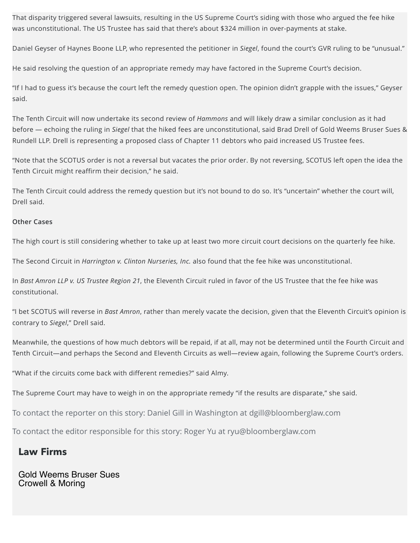That disparity triggered several lawsuits, resulting in the US Supreme Court's siding with those who argued the fee hike was unconstitutional. The US Trustee has said that there's about \$324 million in over-payments at stake.

Daniel Geyser of Haynes Boone LLP, who represented the petitioner in *Siegel*, found the court's GVR ruling to be "unusual."

He said resolving the question of an appropriate remedy may have factored in the Supreme Court's decision.

"If I had to guess it's because the court left the remedy question open. The opinion didn't grapple with the issues," Geyser said.

The Tenth Circuit will now undertake its second review of *Hammons* and will likely draw a similar conclusion as it had before — echoing the ruling in *Siegel* that the hiked fees are unconstitutional, said Brad Drell of Gold Weems Bruser Sues & Rundell LLP. Drell is representing a proposed class of Chapter 11 debtors who paid increased US Trustee fees.

"Note that the SCOTUS order is not a reversal but vacates the prior order. By not reversing, SCOTUS left open the idea the Tenth Circuit might reaffirm their decision," he said.

The Tenth Circuit could address the remedy question but it's not bound to do so. It's "uncertain" whether the court will, Drell said.

#### **Other Cases**

The high court is still considering whether to take up at least two more circuit court decisions on the quarterly fee hike.

The Second Circuit in *Harrington v. Clinton Nurseries, Inc.* also found that the fee hike was unconstitutional.

In *Bast Amron LLP v. US Trustee Region 21*, the Eleventh Circuit ruled in favor of the US Trustee that the fee hike was constitutional.

"I bet SCOTUS will reverse in *Bast Amron*, rather than merely vacate the decision, given that the Eleventh Circuit's opinion is contrary to *Siegel*," Drell said.

Meanwhile, the questions of how much debtors will be repaid, if at all, may not be determined until the Fourth Circuit and Tenth Circuit—and perhaps the Second and Eleventh Circuits as well—review again, following the Supreme Court's orders.

"What if the circuits come back with different remedies?" said Almy.

The Supreme Court may have to weigh in on the appropriate remedy "if the results are disparate," she said.

To contact the reporter on this story: Daniel Gill in Washington at dgill@bloomberglaw.com

To contact the editor responsible for this story: Roger Yu at ryu@bloomberglaw.com

### **Law Firms**

Gold Weems Bruser Sues Crowell & Moring